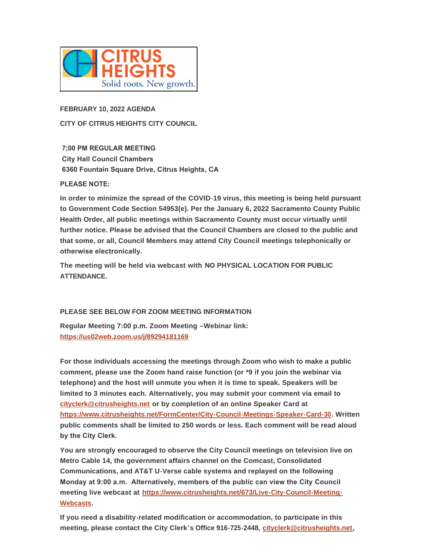

**FEBRUARY 10, 2022 AGENDA CITY OF CITRUS HEIGHTS CITY COUNCIL**

 **7;00 PM REGULAR MEETING City Hall Council Chambers 6360 Fountain Square Drive, Citrus Heights, CA**

# **PLEASE NOTE:**

**In order to minimize the spread of the COVID-19 virus, this meeting is being held pursuant to Government Code Section 54953(e). Per the January 6, 2022 Sacramento County Public Health Order, all public meetings within Sacramento County must occur virtually until further notice. Please be advised that the Council Chambers are closed to the public and that some, or all, Council Members may attend City Council meetings telephonically or otherwise electronically.** 

**The meeting will be held via webcast with NO PHYSICAL LOCATION FOR PUBLIC ATTENDANCE.**

# **PLEASE SEE BELOW FOR ZOOM MEETING INFORMATION**

**[Regular Meeting 7:00 p.m. Zoom Meeti](https://us02web.zoom.us/j/89294181169)ng –Webinar link: https://us02web.zoom.us/j/89294181169**

**For those individuals accessing the meetings through Zoom who wish to make a public comment, please use the Zoom hand raise function (or \*9 if you join the webinar via telephone) and the host will unmute you when it is time to speak. Speakers will be [limited to 3 minutes each. A](mailto:cityclerk@citrusheights.net)lternatively, you may submit your comment via email to cityclerk@citrusheights.net or by completion of an online Speaker Card at <https://www.citrusheights.net/FormCenter/City-Council-Meetings-Speaker-Card-30>. Written public comments shall be limited to 250 words or less. Each comment will be read aloud by the City Clerk.** 

**You are strongly encouraged to observe the City Council meetings on television live on Metro Cable 14, the government affairs channel on the Comcast, Consolidated Communications, and AT&T U-Verse cable systems and replayed on the following Monday at 9:00 a.m. Alternatively, members of the public can view the City Council meeting live webcast at [https://www.citrusheights.net/673/Live-City-Council-Meeting-](https://www.citrusheights.net/673/Live-City-Council-Meeting-Webcasts)Webcasts.**

**If you need a disability-related modification or accommodation, to participate in this meeting, please contact the City Clerk's Office 916-725-2448, [cityclerk@citrusheights.net](mailto:cityclerk@citrusheights.net),**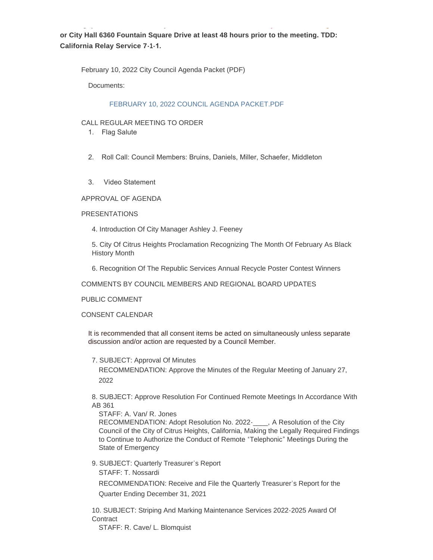**or City Hall 6360 Fountain Square Drive at least 48 hours prior to the meeting. TDD: California Relay Service 7-1-1.** 

**meeting, please contact the City Clerk's Office 916-725-2448, cityclerk@citrusheights.net,** 

February 10, 2022 City Council Agenda Packet (PDF)

Documents:

#### [FEBRUARY 10, 2022 COUNCIL AGENDA PACKET.PDF](http://www.citrusheights.net/AgendaCenter/ViewFile/Item/6563?fileID=34790)

#### CALL REGULAR MEETING TO ORDER

- 1. Flag Salute
- 2. Roll Call: Council Members: Bruins, Daniels, Miller, Schaefer, Middleton
- 3. Video Statement

APPROVAL OF AGENDA

### PRESENTATIONS

4. Introduction Of City Manager Ashley J. Feeney

5. City Of Citrus Heights Proclamation Recognizing The Month Of February As Black History Month

6. Recognition Of The Republic Services Annual Recycle Poster Contest Winners

COMMENTS BY COUNCIL MEMBERS AND REGIONAL BOARD UPDATES

PUBLIC COMMENT

CONSENT CALENDAR

It is recommended that all consent items be acted on simultaneously unless separate discussion and/or action are requested by a Council Member.

7. SUBJECT: Approval Of Minutes

RECOMMENDATION: Approve the Minutes of the Regular Meeting of January 27, 2022

8. SUBJECT: Approve Resolution For Continued Remote Meetings In Accordance With AB 361

STAFF: A. Van/ R. Jones RECOMMENDATION: Adopt Resolution No. 2022-\_\_\_\_, A Resolution of the City Council of the City of Citrus Heights, California, Making the Legally Required Findings to Continue to Authorize the Conduct of Remote "Telephonic" Meetings During the State of Emergency

9. SUBJECT: Quarterly Treasurer's Report STAFF: T. Nossardi RECOMMENDATION: Receive and File the Quarterly Treasurer's Report for the Quarter Ending December 31, 2021

10. SUBJECT: Striping And Marking Maintenance Services 2022-2025 Award Of **Contract** 

STAFF: R. Cave/ L. Blomquist